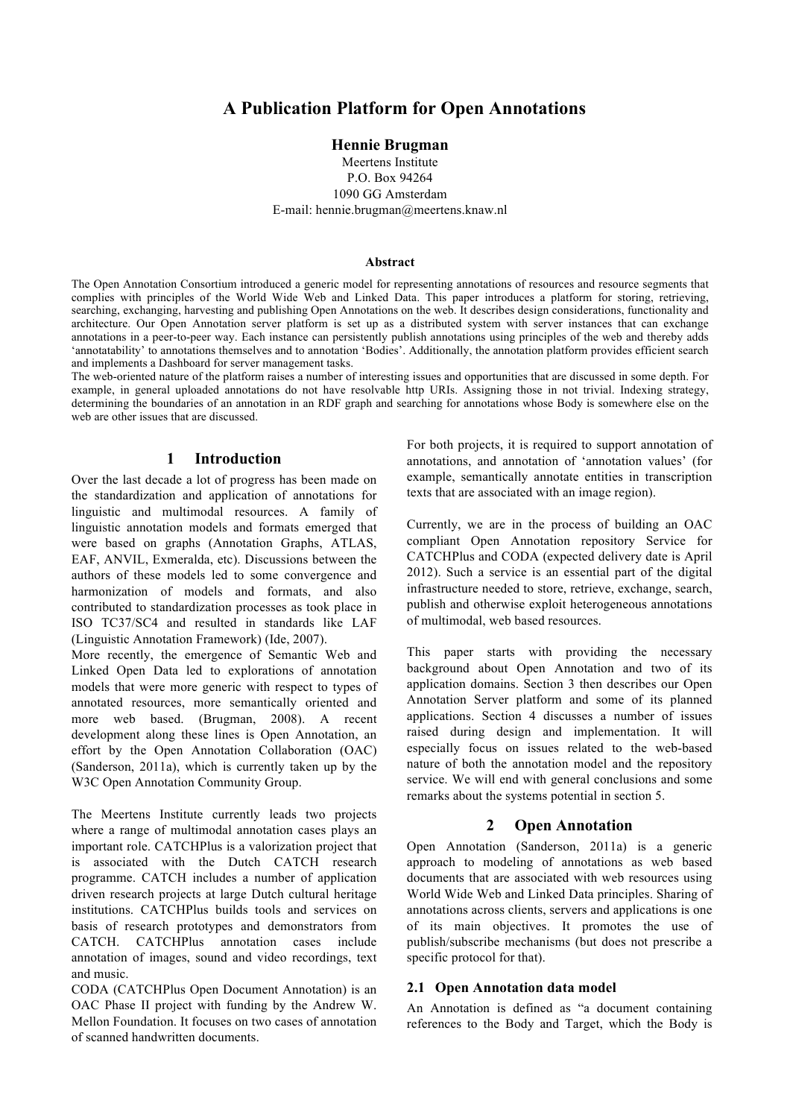# **A Publication Platform for Open Annotations**

#### **Hennie Brugman**

Meertens Institute P.O. Box 94264 1090 GG Amsterdam E-mail: hennie.brugman@meertens.knaw.nl

#### **Abstract**

The Open Annotation Consortium introduced a generic model for representing annotations of resources and resource segments that complies with principles of the World Wide Web and Linked Data. This paper introduces a platform for storing, retrieving, searching, exchanging, harvesting and publishing Open Annotations on the web. It describes design considerations, functionality and architecture. Our Open Annotation server platform is set up as a distributed system with server instances that can exchange annotations in a peer-to-peer way. Each instance can persistently publish annotations using principles of the web and thereby adds 'annotatability' to annotations themselves and to annotation 'Bodies'. Additionally, the annotation platform provides efficient search and implements a Dashboard for server management tasks.

The web-oriented nature of the platform raises a number of interesting issues and opportunities that are discussed in some depth. For example, in general uploaded annotations do not have resolvable http URIs. Assigning those in not trivial. Indexing strategy, determining the boundaries of an annotation in an RDF graph and searching for annotations whose Body is somewhere else on the web are other issues that are discussed.

### **1 Introduction**

Over the last decade a lot of progress has been made on the standardization and application of annotations for linguistic and multimodal resources. A family of linguistic annotation models and formats emerged that were based on graphs (Annotation Graphs, ATLAS, EAF, ANVIL, Exmeralda, etc). Discussions between the authors of these models led to some convergence and harmonization of models and formats, and also contributed to standardization processes as took place in ISO TC37/SC4 and resulted in standards like LAF (Linguistic Annotation Framework) (Ide, 2007).

More recently, the emergence of Semantic Web and Linked Open Data led to explorations of annotation models that were more generic with respect to types of annotated resources, more semantically oriented and more web based. (Brugman, 2008). A recent development along these lines is Open Annotation, an effort by the Open Annotation Collaboration (OAC) (Sanderson, 2011a), which is currently taken up by the W3C Open Annotation Community Group.

The Meertens Institute currently leads two projects where a range of multimodal annotation cases plays an important role. CATCHPlus is a valorization project that is associated with the Dutch CATCH research programme. CATCH includes a number of application driven research projects at large Dutch cultural heritage institutions. CATCHPlus builds tools and services on basis of research prototypes and demonstrators from CATCH. CATCHPlus annotation cases include annotation of images, sound and video recordings, text and music.

CODA (CATCHPlus Open Document Annotation) is an OAC Phase II project with funding by the Andrew W. Mellon Foundation. It focuses on two cases of annotation of scanned handwritten documents.

For both projects, it is required to support annotation of annotations, and annotation of 'annotation values' (for example, semantically annotate entities in transcription texts that are associated with an image region).

Currently, we are in the process of building an OAC compliant Open Annotation repository Service for CATCHPlus and CODA (expected delivery date is April 2012). Such a service is an essential part of the digital infrastructure needed to store, retrieve, exchange, search, publish and otherwise exploit heterogeneous annotations of multimodal, web based resources.

This paper starts with providing the necessary background about Open Annotation and two of its application domains. Section 3 then describes our Open Annotation Server platform and some of its planned applications. Section 4 discusses a number of issues raised during design and implementation. It will especially focus on issues related to the web-based nature of both the annotation model and the repository service. We will end with general conclusions and some remarks about the systems potential in section 5.

### **2 Open Annotation**

Open Annotation (Sanderson, 2011a) is a generic approach to modeling of annotations as web based documents that are associated with web resources using World Wide Web and Linked Data principles. Sharing of annotations across clients, servers and applications is one of its main objectives. It promotes the use of publish/subscribe mechanisms (but does not prescribe a specific protocol for that).

#### **2.1 Open Annotation data model**

An Annotation is defined as "a document containing references to the Body and Target, which the Body is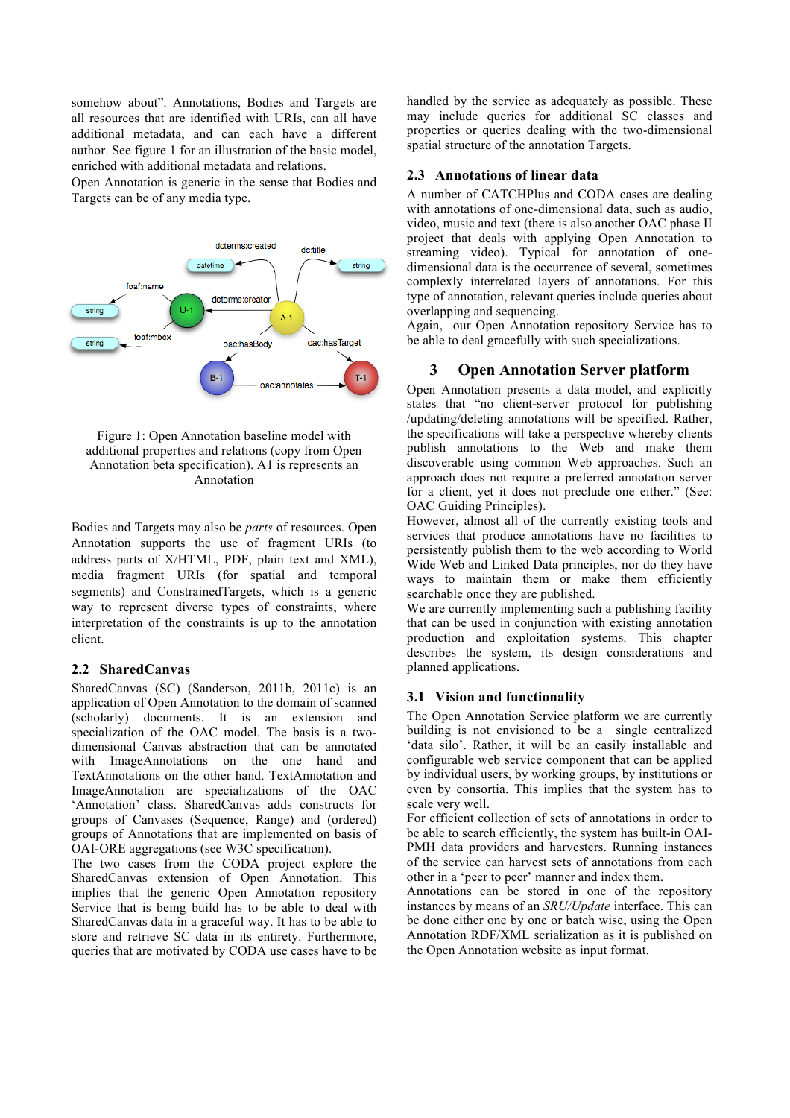somehow about". Annotations, Bodies and Targets are all resources that are identified with URIs, can all have additional metadata, and can each have a different author. See figure 1 for an illustration of the basic model, enriched with additional metadata and relations.

Open Annotation is generic in the sense that Bodies and Targets can be of any media type.



Figure 1: Open Annotation baseline model with additional properties and relations (copy from Open Annotation beta specification). A1 is represents an Annotation

Bodies and Targets may also be *parts* of resources. Open Annotation supports the use of fragment URIs (to address parts of X/HTML, PDF, plain text and XML), media fragment URIs (for spatial and temporal segments) and ConstrainedTargets, which is a generic way to represent diverse types of constraints, where interpretation of the constraints is up to the annotation client.

#### **2.2 SharedCanvas**

SharedCanvas (SC) (Sanderson, 2011b, 2011c) is an application of Open Annotation to the domain of scanned (scholarly) documents. It is an extension and specialization of the OAC model. The basis is a twodimensional Canvas abstraction that can be annotated with ImageAnnotations on the one hand and TextAnnotations on the other hand. TextAnnotation and ImageAnnotation are specializations of the OAC 'Annotation' class. SharedCanvas adds constructs for groups of Canvases (Sequence, Range) and (ordered) groups of Annotations that are implemented on basis of OAI-ORE aggregations (see W3C specification).

The two cases from the CODA project explore the SharedCanvas extension of Open Annotation. This implies that the generic Open Annotation repository Service that is being build has to be able to deal with SharedCanvas data in a graceful way. It has to be able to store and retrieve SC data in its entirety. Furthermore, queries that are motivated by CODA use cases have to be handled by the service as adequately as possible. These may include queries for additional SC classes and properties or queries dealing with the two-dimensional spatial structure of the annotation Targets.

#### **2.3 Annotations of linear data**

A number of CATCHPlus and CODA cases are dealing with annotations of one-dimensional data, such as audio, video, music and text (there is also another OAC phase II project that deals with applying Open Annotation to streaming video). Typical for annotation of onedimensional data is the occurrence of several, sometimes complexly interrelated layers of annotations. For this type of annotation, relevant queries include queries about overlapping and sequencing.

Again, our Open Annotation repository Service has to be able to deal gracefully with such specializations.

### **3 Open Annotation Server platform**

Open Annotation presents a data model, and explicitly states that "no client-server protocol for publishing /updating/deleting annotations will be specified. Rather, the specifications will take a perspective whereby clients publish annotations to the Web and make them discoverable using common Web approaches. Such an approach does not require a preferred annotation server for a client, yet it does not preclude one either." (See: OAC Guiding Principles).

However, almost all of the currently existing tools and services that produce annotations have no facilities to persistently publish them to the web according to World Wide Web and Linked Data principles, nor do they have ways to maintain them or make them efficiently searchable once they are published.

We are currently implementing such a publishing facility that can be used in conjunction with existing annotation production and exploitation systems. This chapter describes the system, its design considerations and planned applications.

#### **3.1 Vision and functionality**

The Open Annotation Service platform we are currently building is not envisioned to be a single centralized 'data silo'. Rather, it will be an easily installable and configurable web service component that can be applied by individual users, by working groups, by institutions or even by consortia. This implies that the system has to scale very well.

For efficient collection of sets of annotations in order to be able to search efficiently, the system has built-in OAI-PMH data providers and harvesters. Running instances of the service can harvest sets of annotations from each other in a 'peer to peer' manner and index them.

Annotations can be stored in one of the repository instances by means of an *SRU/Update* interface. This can be done either one by one or batch wise, using the Open Annotation RDF/XML serialization as it is published on the Open Annotation website as input format.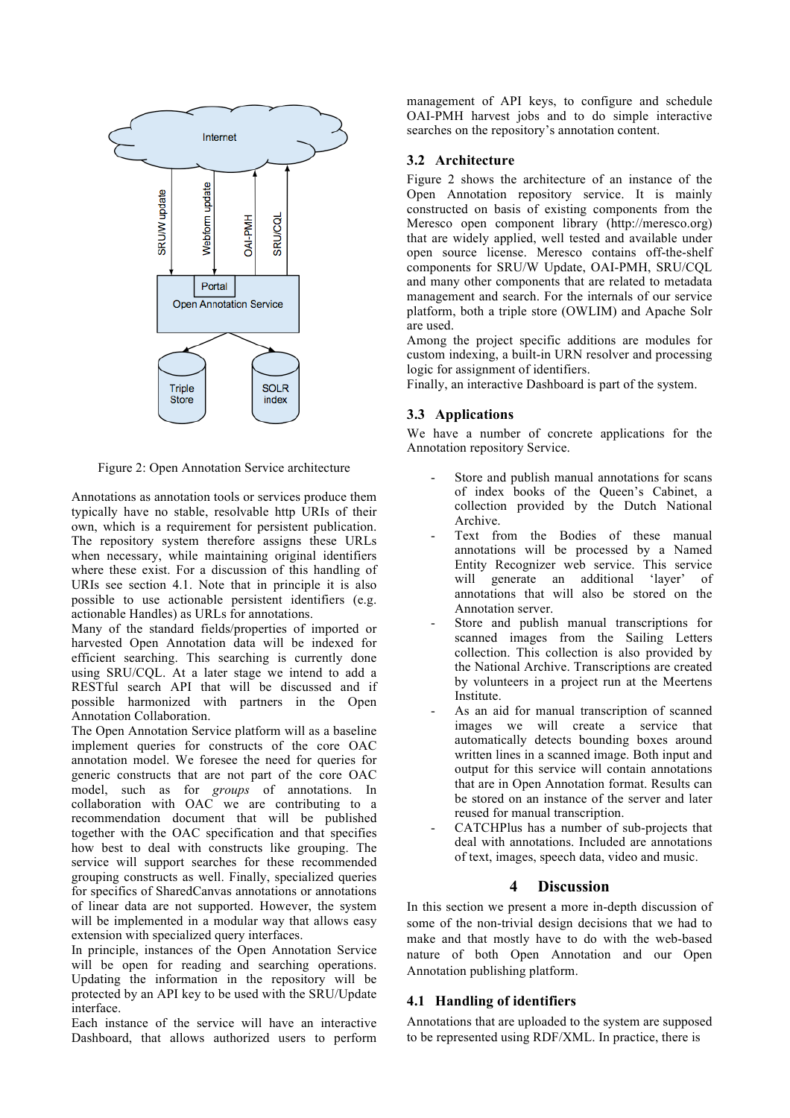

Figure 2: Open Annotation Service architecture

Annotations as annotation tools or services produce them typically have no stable, resolvable http URIs of their own, which is a requirement for persistent publication. The repository system therefore assigns these URLs when necessary, while maintaining original identifiers where these exist. For a discussion of this handling of URIs see section 4.1. Note that in principle it is also possible to use actionable persistent identifiers (e.g. actionable Handles) as URLs for annotations.

Many of the standard fields/properties of imported or harvested Open Annotation data will be indexed for efficient searching. This searching is currently done using SRU/CQL. At a later stage we intend to add a RESTful search API that will be discussed and if possible harmonized with partners in the Open Annotation Collaboration.

The Open Annotation Service platform will as a baseline implement queries for constructs of the core OAC annotation model. We foresee the need for queries for generic constructs that are not part of the core OAC model, such as for *groups* of annotations. In collaboration with OAC we are contributing to a recommendation document that will be published together with the OAC specification and that specifies how best to deal with constructs like grouping. The service will support searches for these recommended grouping constructs as well. Finally, specialized queries for specifics of SharedCanvas annotations or annotations of linear data are not supported. However, the system will be implemented in a modular way that allows easy extension with specialized query interfaces.

In principle, instances of the Open Annotation Service will be open for reading and searching operations. Updating the information in the repository will be protected by an API key to be used with the SRU/Update interface.

Each instance of the service will have an interactive Dashboard, that allows authorized users to perform management of API keys, to configure and schedule OAI-PMH harvest jobs and to do simple interactive searches on the repository's annotation content.

### **3.2 Architecture**

Figure 2 shows the architecture of an instance of the Open Annotation repository service. It is mainly constructed on basis of existing components from the Meresco open component library (http://meresco.org) that are widely applied, well tested and available under open source license. Meresco contains off-the-shelf components for SRU/W Update, OAI-PMH, SRU/CQL and many other components that are related to metadata management and search. For the internals of our service platform, both a triple store (OWLIM) and Apache Solr are used.

Among the project specific additions are modules for custom indexing, a built-in URN resolver and processing logic for assignment of identifiers.

Finally, an interactive Dashboard is part of the system.

### **3.3 Applications**

We have a number of concrete applications for the Annotation repository Service.

- Store and publish manual annotations for scans of index books of the Queen's Cabinet, a collection provided by the Dutch National Archive.
- Text from the Bodies of these manual annotations will be processed by a Named Entity Recognizer web service. This service will generate an additional 'layer' of annotations that will also be stored on the Annotation server.
- Store and publish manual transcriptions for scanned images from the Sailing Letters collection. This collection is also provided by the National Archive. Transcriptions are created by volunteers in a project run at the Meertens Institute.
- As an aid for manual transcription of scanned images we will create a service that automatically detects bounding boxes around written lines in a scanned image. Both input and output for this service will contain annotations that are in Open Annotation format. Results can be stored on an instance of the server and later reused for manual transcription.
- CATCHPlus has a number of sub-projects that deal with annotations. Included are annotations of text, images, speech data, video and music.

### **4 Discussion**

In this section we present a more in-depth discussion of some of the non-trivial design decisions that we had to make and that mostly have to do with the web-based nature of both Open Annotation and our Open Annotation publishing platform.

### **4.1 Handling of identifiers**

Annotations that are uploaded to the system are supposed to be represented using RDF/XML. In practice, there is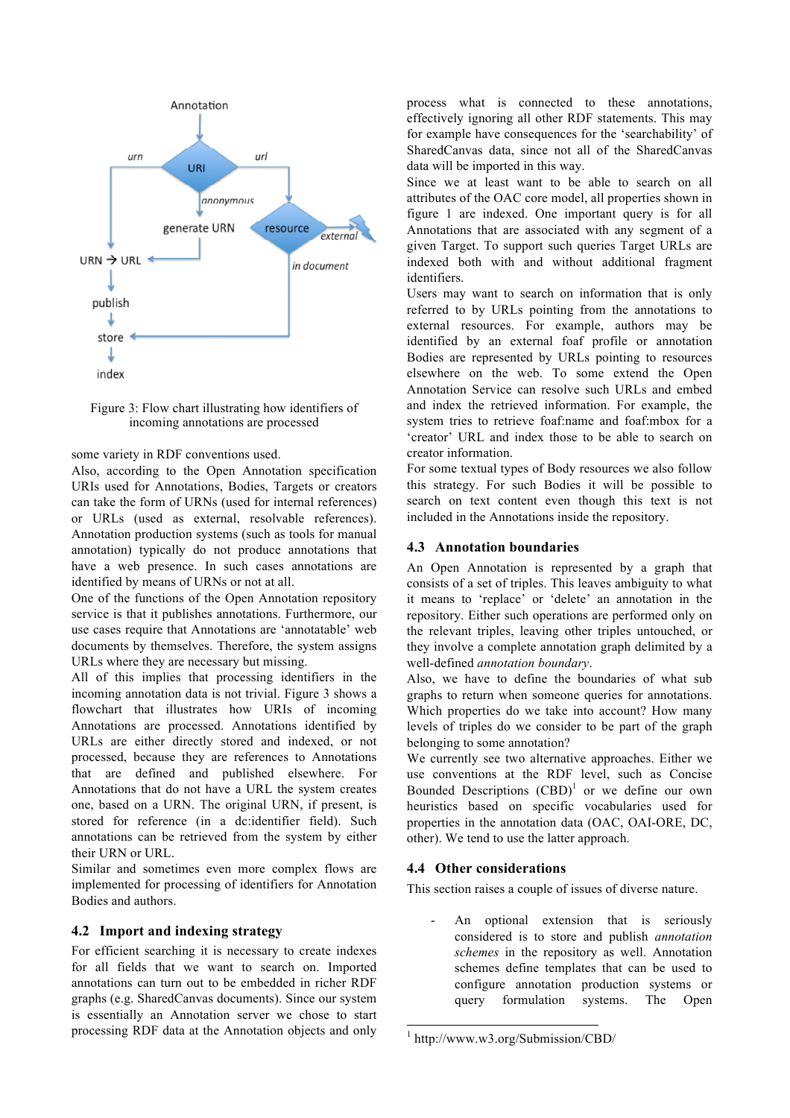

Figure 3: Flow chart illustrating how identifiers of incoming annotations are processed

some variety in RDF conventions used.

Also, according to the Open Annotation specification URIs used for Annotations, Bodies, Targets or creators can take the form of URNs (used for internal references) or URLs (used as external, resolvable references). Annotation production systems (such as tools for manual annotation) typically do not produce annotations that have a web presence. In such cases annotations are identified by means of URNs or not at all.

One of the functions of the Open Annotation repository service is that it publishes annotations. Furthermore, our use cases require that Annotations are 'annotatable' web documents by themselves. Therefore, the system assigns URLs where they are necessary but missing.

All of this implies that processing identifiers in the incoming annotation data is not trivial. Figure 3 shows a flowchart that illustrates how URIs of incoming Annotations are processed. Annotations identified by URLs are either directly stored and indexed, or not processed, because they are references to Annotations that are defined and published elsewhere. For Annotations that do not have a URL the system creates one, based on a URN. The original URN, if present, is stored for reference (in a dc:identifier field). Such annotations can be retrieved from the system by either their URN or URL.

Similar and sometimes even more complex flows are implemented for processing of identifiers for Annotation Bodies and authors.

#### **4.2 Import and indexing strategy**

For efficient searching it is necessary to create indexes for all fields that we want to search on. Imported annotations can turn out to be embedded in richer RDF graphs (e.g. SharedCanvas documents). Since our system is essentially an Annotation server we chose to start processing RDF data at the Annotation objects and only process what is connected to these annotations, effectively ignoring all other RDF statements. This may for example have consequences for the 'searchability' of SharedCanvas data, since not all of the SharedCanvas data will be imported in this way.

Since we at least want to be able to search on all attributes of the OAC core model, all properties shown in figure 1 are indexed. One important query is for all Annotations that are associated with any segment of a given Target. To support such queries Target URLs are indexed both with and without additional fragment identifiers.

Users may want to search on information that is only referred to by URLs pointing from the annotations to external resources. For example, authors may be identified by an external foaf profile or annotation Bodies are represented by URLs pointing to resources elsewhere on the web. To some extend the Open Annotation Service can resolve such URLs and embed and index the retrieved information. For example, the system tries to retrieve foaf:name and foaf:mbox for a 'creator' URL and index those to be able to search on creator information.

For some textual types of Body resources we also follow this strategy. For such Bodies it will be possible to search on text content even though this text is not included in the Annotations inside the repository.

#### **4.3 Annotation boundaries**

An Open Annotation is represented by a graph that consists of a set of triples. This leaves ambiguity to what it means to 'replace' or 'delete' an annotation in the repository. Either such operations are performed only on the relevant triples, leaving other triples untouched, or they involve a complete annotation graph delimited by a well-defined *annotation boundary*.

Also, we have to define the boundaries of what sub graphs to return when someone queries for annotations. Which properties do we take into account? How many levels of triples do we consider to be part of the graph belonging to some annotation?

We currently see two alternative approaches. Either we use conventions at the RDF level, such as Concise Bounded Descriptions  $(CBD)^1$  or we define our own heuristics based on specific vocabularies used for properties in the annotation data (OAC, OAI-ORE, DC, other). We tend to use the latter approach.

### **4.4 Other considerations**

This section raises a couple of issues of diverse nature.

An optional extension that is seriously considered is to store and publish *annotation schemes* in the repository as well. Annotation schemes define templates that can be used to configure annotation production systems or query formulation systems. The Open

 <sup>1</sup> http://www.w3.org/Submission/CBD/